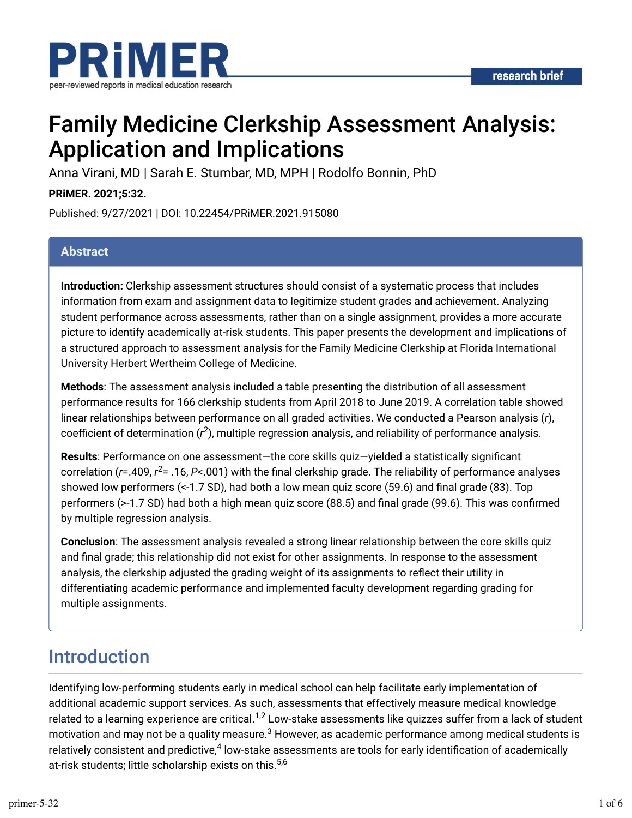

# Family Medicine Clerkship Assessment Analysis: Application and Implications

Anna Virani, MD | Sarah E. Stumbar, MD, MPH | Rodolfo Bonnin, PhD

#### **PRiMER. 2021;5:32.**

Published: 9/27/2021 | DOI: 10.22454/PRiMER.2021.915080

#### **Abstract**

**Introduction:** Clerkship assessment structures should consist of a systematic process that includes information from exam and assignment data to legitimize student grades and achievement. Analyzing student performance across assessments, rather than on a single assignment, provides a more accurate picture to identify academically at-risk students. This paper presents the development and implications of a structured approach to assessment analysis for the Family Medicine Clerkship at Florida International University Herbert Wertheim College of Medicine.

**Methods**: The assessment analysis included a table presenting the distribution of all assessment performance results for 166 clerkship students from April 2018 to June 2019. A correlation table showed linear relationships between performance on all graded activities. We conducted a Pearson analysis (*r*), coefficient of determination ( $r^2$ ), multiple regression analysis, and reliability of performance analysis.

Results: Performance on one assessment—the core skills quiz—yielded a statistically significant correlation (r=.409, r<sup>2</sup>= .16, P<.001) with the final clerkship grade. The reliability of performance analyses showed low performers  $\left\langle \langle -1.7 \rangle$  SD), had both a low mean quiz score (59.6) and final grade (83). Top performers (>-1.7 SD) had both a high mean quiz score (88.5) and final grade (99.6). This was confirmed by multiple regression analysis.

**Conclusion**: The assessment analysis revealed a strong linear relationship between the core skills quiz and final grade; this relationship did not exist for other assignments. In response to the assessment analysis, the clerkship adjusted the grading weight of its assignments to reflect their utility in differentiating academic performance and implemented faculty development regarding grading for multiple assignments.

### Introduction

Identifying low-performing students early in medical school can help facilitate early implementation of additional academic support services. As such, assessments that effectively measure medical knowledge related to a learning experience are critical.<sup>1,2</sup> Low-stake assessments like quizzes suffer from a lack of student motivation and may not be a quality measure. $^3$  However, as academic performance among medical students is relatively consistent and predictive, $^4$  low-stake assessments are tools for early identification of academically at-risk students; little scholarship exists on this.<sup>5,6</sup>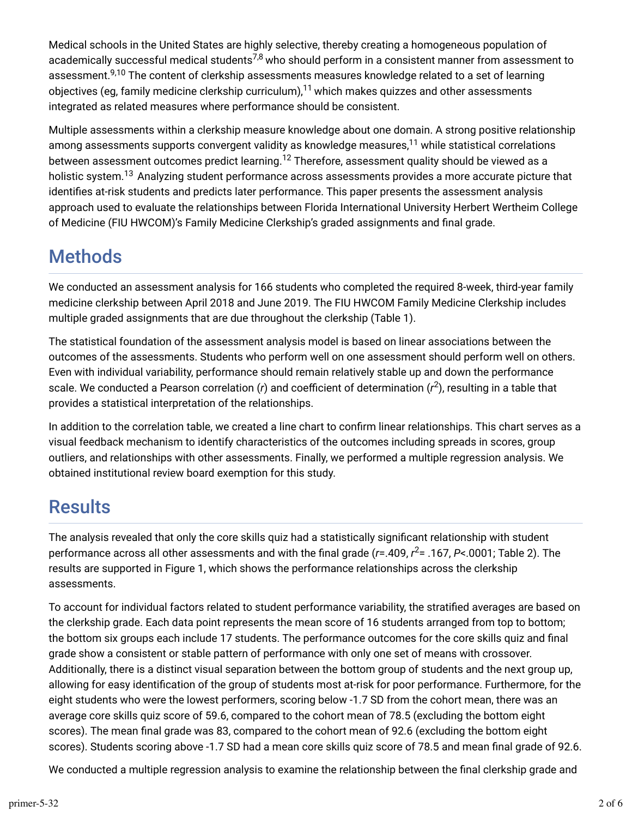Medical schools in the United States are highly selective, thereby creating a homogeneous population of academically successful medical students<sup>7,8</sup> who should perform in a consistent manner from assessment to assessment.<sup>9,10</sup> The content of clerkship assessments measures knowledge related to a set of learning objectives (eg, family medicine clerkship curriculum), $^{\mathsf{11}}$  which makes quizzes and other assessments integrated as related measures where performance should be consistent.

Multiple assessments within a clerkship measure knowledge about one domain. A strong positive relationship among assessments supports convergent validity as knowledge measures, $^{11}$  while statistical correlations between assessment outcomes predict learning. $^{\sf 12}$  Therefore, assessment quality should be viewed as a holistic system.<sup>13</sup> Analyzing student performance across assessments provides a more accurate picture that identifies at-risk students and predicts later performance. This paper presents the assessment analysis approach used to evaluate the relationships between Florida International University Herbert Wertheim College of Medicine (FIU HWCOM)'s Family Medicine Clerkship's graded assignments and final grade.

## **Methods**

We conducted an assessment analysis for 166 students who completed the required 8-week, third-year family medicine clerkship between April 2018 and June 2019. The FIU HWCOM Family Medicine Clerkship includes multiple graded assignments that are due throughout the clerkship (Table 1).

The statistical foundation of the assessment analysis model is based on linear associations between the outcomes of the assessments. Students who perform well on one assessment should perform well on others. Even with individual variability, performance should remain relatively stable up and down the performance scale. We conducted a Pearson correlation (r) and coefficient of determination (r<sup>2</sup>), resulting in a table that provides a statistical interpretation of the relationships.

In addition to the correlation table, we created a line chart to confirm linear relationships. This chart serves as a visual feedback mechanism to identify characteristics of the outcomes including spreads in scores, group outliers, and relationships with other assessments. Finally, we performed a multiple regression analysis. We obtained institutional review board exemption for this study.

## **Results**

The analysis revealed that only the core skills quiz had a statistically significant relationship with student performance across all other assessments and with the final grade (*r*=.409, *r*<sup>2</sup>= .167, *P<*.0001; Table 2). The results are supported in Figure 1, which shows the performance relationships across the clerkship assessments.

To account for individual factors related to student performance variability, the stratified averages are based on the clerkship grade. Each data point represents the mean score of 16 students arranged from top to bottom; the bottom six groups each include 17 students. The performance outcomes for the core skills quiz and final grade show a consistent or stable pattern of performance with only one set of means with crossover. Additionally, there is a distinct visual separation between the bottom group of students and the next group up, allowing for easy identification of the group of students most at-risk for poor performance. Furthermore, for the eight students who were the lowest performers, scoring below -1.7 SD from the cohort mean, there was an average core skills quiz score of 59.6, compared to the cohort mean of 78.5 (excluding the bottom eight scores). The mean final grade was 83, compared to the cohort mean of 92.6 (excluding the bottom eight scores). Students scoring above -1.7 SD had a mean core skills quiz score of 78.5 and mean final grade of 92.6.

We conducted a multiple regression analysis to examine the relationship between the final clerkship grade and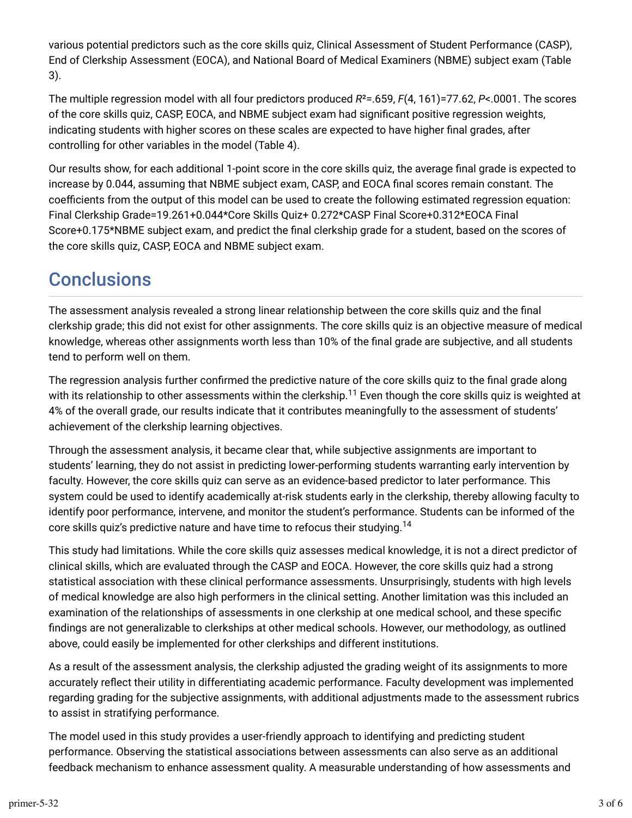various potential predictors such as the core skills quiz, Clinical Assessment of Student Performance (CASP), End of Clerkship Assessment (EOCA), and National Board of Medical Examiners (NBME) subject exam (Table 3).

The multiple regression model with all four predictors produced *R*²=.659, *F*(4, 161)=77.62, *P*<.0001. The scores of the core skills quiz, CASP, EOCA, and NBME subject exam had significant positive regression weights, indicating students with higher scores on these scales are expected to have higher final grades, after controlling for other variables in the model (Table 4).

Our results show, for each additional 1-point score in the core skills quiz, the average final grade is expected to increase by 0.044, assuming that NBME subject exam, CASP, and EOCA final scores remain constant. The coefficients from the output of this model can be used to create the following estimated regression equation: Final Clerkship Grade=19.261+0.044\*Core Skills Quiz+ 0.272\*CASP Final Score+0.312\*EOCA Final Score+0.175\*NBME subject exam, and predict the final clerkship grade for a student, based on the scores of the core skills quiz, CASP, EOCA and NBME subject exam.

### **Conclusions**

The assessment analysis revealed a strong linear relationship between the core skills quiz and the final clerkship grade; this did not exist for other assignments. The core skills quiz is an objective measure of medical knowledge, whereas other assignments worth less than 10% of the final grade are subjective, and all students tend to perform well on them.

The regression analysis further confirmed the predictive nature of the core skills quiz to the final grade along with its relationship to other assessments within the clerkship. $^{11}$  Even though the core skills quiz is weighted at 4% of the overall grade, our results indicate that it contributes meaningfully to the assessment of students' achievement of the clerkship learning objectives.

Through the assessment analysis, it became clear that, while subjective assignments are important to students' learning, they do not assist in predicting lower-performing students warranting early intervention by faculty. However, the core skills quiz can serve as an evidence-based predictor to later performance. This system could be used to identify academically at-risk students early in the clerkship, thereby allowing faculty to identify poor performance, intervene, and monitor the student's performance. Students can be informed of the core skills quiz's predictive nature and have time to refocus their studying.<sup>14</sup>

This study had limitations. While the core skills quiz assesses medical knowledge, it is not a direct predictor of clinical skills, which are evaluated through the CASP and EOCA. However, the core skills quiz had a strong statistical association with these clinical performance assessments. Unsurprisingly, students with high levels of medical knowledge are also high performers in the clinical setting. Another limitation was this included an examination of the relationships of assessments in one clerkship at one medical school, and these specific findings are not generalizable to clerkships at other medical schools. However, our methodology, as outlined above, could easily be implemented for other clerkships and different institutions.

As a result of the assessment analysis, the clerkship adjusted the grading weight of its assignments to more accurately reflect their utility in differentiating academic performance. Faculty development was implemented regarding grading for the subjective assignments, with additional adjustments made to the assessment rubrics to assist in stratifying performance.

The model used in this study provides a user-friendly approach to identifying and predicting student performance. Observing the statistical associations between assessments can also serve as an additional feedback mechanism to enhance assessment quality. A measurable understanding of how assessments and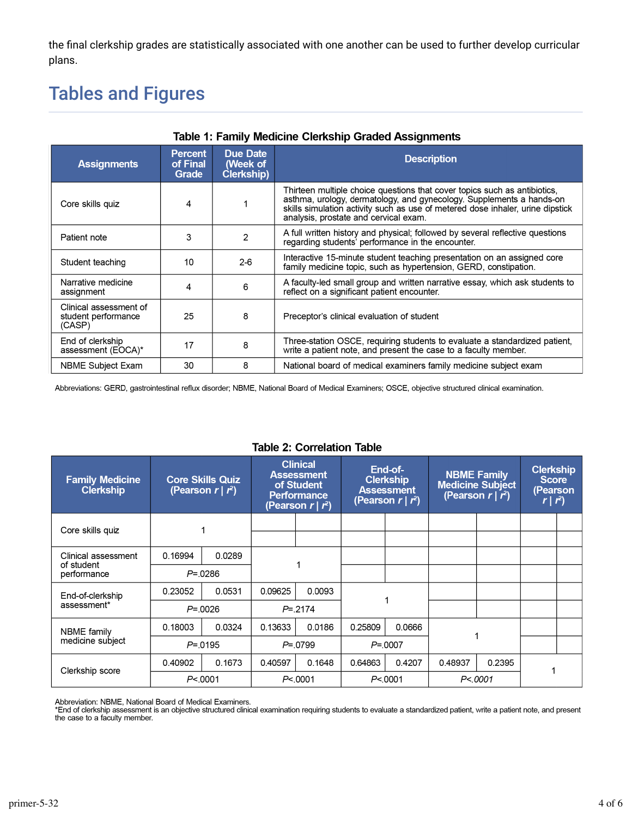the final clerkship grades are statistically associated with one another can be used to further develop curricular plans.

## **Tables and Figures**

| Table 1: Family Medicine Clerkship Graded Assignments   |                                     |                                    |                                                                                                                                                                                                                                                                              |  |  |  |
|---------------------------------------------------------|-------------------------------------|------------------------------------|------------------------------------------------------------------------------------------------------------------------------------------------------------------------------------------------------------------------------------------------------------------------------|--|--|--|
| <b>Assignments</b>                                      | <b>Percent</b><br>of Final<br>Grade | Due Date<br>(Week of<br>Clerkship) | <b>Description</b>                                                                                                                                                                                                                                                           |  |  |  |
| Core skills quiz                                        | 4                                   |                                    | Thirteen multiple choice questions that cover topics such as antibiotics,<br>asthma, urology, dermatology, and gynecology. Supplements a hands-on<br>skills simulation activity such as use of metered dose inhaler, urine dipstick<br>analysis, prostate and cervical exam. |  |  |  |
| Patient note                                            | 3                                   | $\mathfrak{p}$                     | A full written history and physical; followed by several reflective questions<br>regarding students' performance in the encounter.                                                                                                                                           |  |  |  |
| Student teaching                                        | 10                                  | $2-6$                              | Interactive 15-minute student teaching presentation on an assigned core<br>family medicine topic, such as hypertension, GERD, constipation.                                                                                                                                  |  |  |  |
| Narrative medicine<br>assignment                        | 4                                   | 6                                  | A faculty-led small group and written narrative essay, which ask students to<br>reflect on a significant patient encounter.                                                                                                                                                  |  |  |  |
| Clinical assessment of<br>student performance<br>(CASP) | 25                                  | 8                                  | Preceptor's clinical evaluation of student                                                                                                                                                                                                                                   |  |  |  |
| End of clerkship<br>assessment (EOCA)*                  | 17                                  | 8                                  | Three-station OSCE, requiring students to evaluate a standardized patient,<br>write a patient note, and present the case to a faculty member.                                                                                                                                |  |  |  |
| <b>NBME Subject Exam</b>                                | 30                                  | 8                                  | National board of medical examiners family medicine subject exam                                                                                                                                                                                                             |  |  |  |

Abbreviations: GERD, gastrointestinal reflux disorder; NBME, National Board of Medical Examiners; OSCE, objective structured clinical examination.

| <b>Family Medicine</b><br><b>Clerkship</b>       |            | <b>Core Skills Quiz</b><br>(Pearson $r \mid r^2$ ) | <b>Clinical</b><br><b>Assessment</b><br>of Student<br><b>Performance</b><br>(Pearson $r \mid r^2$ ) |                   | End-of-<br><b>Clerkship</b><br><b>Assessment</b><br>(Pearson $r \mid r^2$ ) |        | <b>NBME Family</b><br><b>Medicine Subject</b><br>(Pearson $r   r^2$ ) |        | <b>Clerkship</b><br><b>Score</b><br>(Pearson<br>$r \mid r^2$ |  |
|--------------------------------------------------|------------|----------------------------------------------------|-----------------------------------------------------------------------------------------------------|-------------------|-----------------------------------------------------------------------------|--------|-----------------------------------------------------------------------|--------|--------------------------------------------------------------|--|
| Core skills quiz                                 |            |                                                    |                                                                                                     |                   |                                                                             |        |                                                                       |        |                                                              |  |
| Clinical assessment<br>of student<br>performance | 0.16994    | 0.0289                                             |                                                                                                     |                   |                                                                             |        |                                                                       |        |                                                              |  |
|                                                  |            | $P = 0.0286$                                       |                                                                                                     |                   |                                                                             |        |                                                                       |        |                                                              |  |
| End-of-clerkship<br>assessment*                  | 0.23052    | 0.0531                                             | 0.09625                                                                                             | 0.0093            |                                                                             |        |                                                                       |        |                                                              |  |
|                                                  | $P = 0026$ |                                                    | $P = 2174$                                                                                          |                   |                                                                             |        |                                                                       |        |                                                              |  |
| <b>NBME</b> family<br>medicine subject           | 0.18003    | 0.0324                                             | 0.13633                                                                                             | 0.0186            | 0.25809                                                                     | 0.0666 |                                                                       |        |                                                              |  |
|                                                  | $P = 0195$ |                                                    | $P = 0799$                                                                                          |                   | $P = 0007$                                                                  |        |                                                                       |        |                                                              |  |
| Clerkship score                                  | 0.40902    | 0.1673                                             | 0.40597                                                                                             | 0.1648            | 0.64863                                                                     | 0.4207 | 0.48937                                                               | 0.2395 |                                                              |  |
|                                                  | P< 0001    |                                                    |                                                                                                     | P <sub>0001</sub> | P <sub>0001</sub>                                                           |        | P < 0001                                                              |        |                                                              |  |

#### **Table 2: Correlation Table**

Abbreviation: NBME, National Board of Medical Examiners.<br>\*End of clerkship assessment is an objective structured clinical examination requiring students to evaluate a standardized patient, write a patient note, and present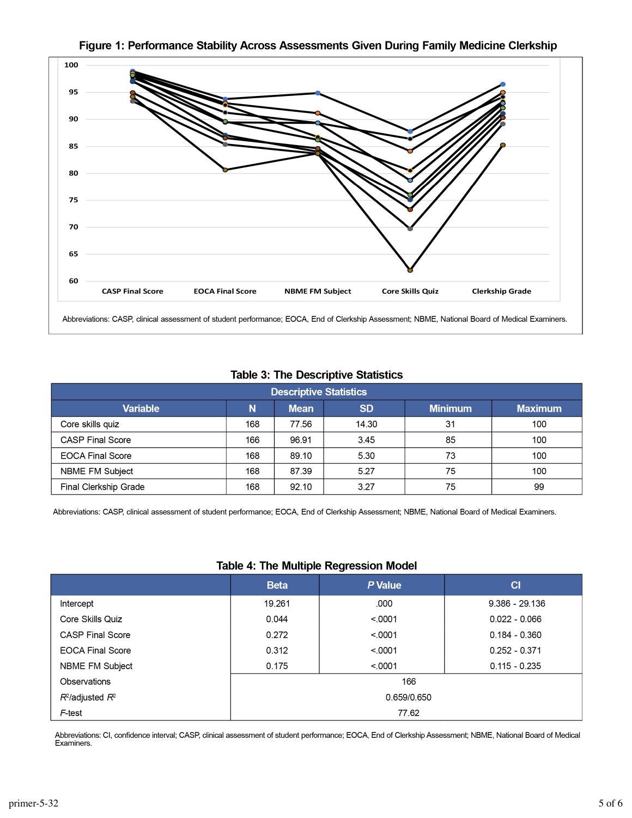

#### Figure 1: Performance Stability Across Assessments Given During Family Medicine Clerkship

#### **Table 3: The Descriptive Statistics**

| Descriptive Statistics  |     |             |           |                |                |  |  |
|-------------------------|-----|-------------|-----------|----------------|----------------|--|--|
| <b>Variable</b>         | N   | <b>Mean</b> | <b>SD</b> | <b>Minimum</b> | <b>Maximum</b> |  |  |
| Core skills quiz        | 168 | 77.56       | 14.30     | 31             | 100            |  |  |
| <b>CASP Final Score</b> | 166 | 96.91       | 3.45      | 85             | 100            |  |  |
| <b>EOCA Final Score</b> | 168 | 89.10       | 5.30      | 73             | 100            |  |  |
| NBME FM Subject         | 168 | 87.39       | 5.27      | 75             | 100            |  |  |
| Final Clerkship Grade   | 168 | 92.10       | 3.27      | 75             | 99             |  |  |

Abbreviations: CASP, clinical assessment of student performance; EOCA, End of Clerkship Assessment; NBME, National Board of Medical Examiners.

#### **Table 4: The Multiple Regression Model**

| ້                       |             |         |                  |  |  |  |  |
|-------------------------|-------------|---------|------------------|--|--|--|--|
|                         | <b>Beta</b> | P Value | C1               |  |  |  |  |
| Intercept               | 19.261      | .000    | $9.386 - 29.136$ |  |  |  |  |
| Core Skills Quiz        | 0.044       | < 0001  | $0.022 - 0.066$  |  |  |  |  |
| <b>CASP Final Score</b> | 0.272       | < 0001  | $0.184 - 0.360$  |  |  |  |  |
| <b>EOCA Final Score</b> | 0.312       | < 0001  | $0.252 - 0.371$  |  |  |  |  |
| NBME FM Subject         | 0.175       | < 0001  | $0.115 - 0.235$  |  |  |  |  |
| Observations            | 166         |         |                  |  |  |  |  |
| $R^2$ /adjusted $R^2$   | 0.659/0.650 |         |                  |  |  |  |  |
| F-test                  | 77.62       |         |                  |  |  |  |  |

Abbreviations: CI, confidence interval; CASP, clinical assessment of student performance; EOCA, End of Clerkship Assessment; NBME, National Board of Medical Examiners.